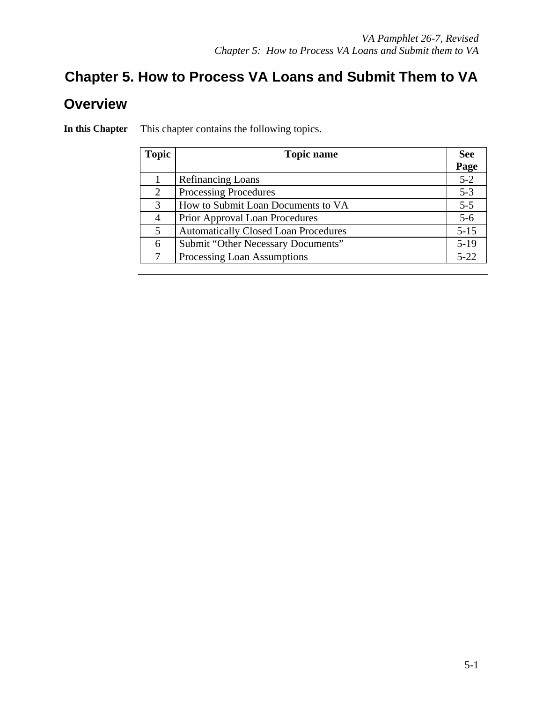# **Chapter 5. How to Process VA Loans and Submit Them to VA Overview**

| <b>Topic</b> | <b>Topic name</b>                           |          |  |  |
|--------------|---------------------------------------------|----------|--|--|
|              |                                             | Page     |  |  |
|              | <b>Refinancing Loans</b>                    | $5 - 2$  |  |  |
| 2            | <b>Processing Procedures</b>                | $5 - 3$  |  |  |
| 3            | How to Submit Loan Documents to VA          | $5 - 5$  |  |  |
| 4            | Prior Approval Loan Procedures              | $5 - 6$  |  |  |
| 5            | <b>Automatically Closed Loan Procedures</b> | $5 - 15$ |  |  |
| 6            | Submit "Other Necessary Documents"          | $5-19$   |  |  |
| 7            | Processing Loan Assumptions                 | $5 - 22$ |  |  |

**In this Chapter** This chapter contains the following topics.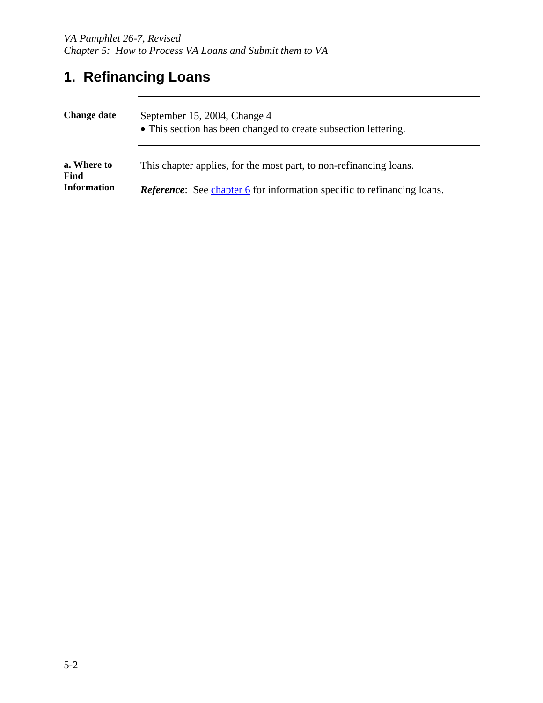# **1. Refinancing Loans**

| <b>Change date</b>         | September 15, 2004, Change 4<br>• This section has been changed to create subsection lettering. |  |  |
|----------------------------|-------------------------------------------------------------------------------------------------|--|--|
| a. Where to<br><b>Find</b> | This chapter applies, for the most part, to non-refinancing loans.                              |  |  |
| <b>Information</b>         | <i>Reference:</i> See chapter 6 for information specific to refinancing loans.                  |  |  |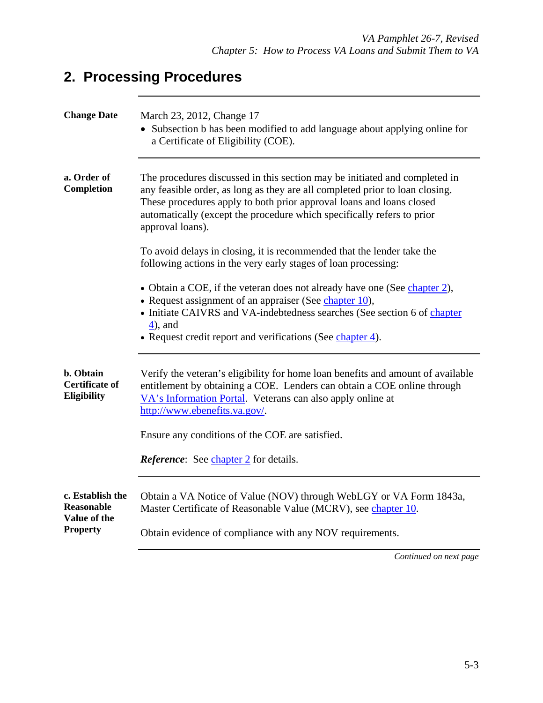# **2. Processing Procedures**

| <b>Change Date</b>                                    | March 23, 2012, Change 17<br>• Subsection b has been modified to add language about applying online for<br>a Certificate of Eligibility (COE).                                                                                                                                                                                   |  |  |  |  |  |
|-------------------------------------------------------|----------------------------------------------------------------------------------------------------------------------------------------------------------------------------------------------------------------------------------------------------------------------------------------------------------------------------------|--|--|--|--|--|
| a. Order of<br>Completion                             | The procedures discussed in this section may be initiated and completed in<br>any feasible order, as long as they are all completed prior to loan closing.<br>These procedures apply to both prior approval loans and loans closed<br>automatically (except the procedure which specifically refers to prior<br>approval loans). |  |  |  |  |  |
|                                                       | To avoid delays in closing, it is recommended that the lender take the<br>following actions in the very early stages of loan processing:                                                                                                                                                                                         |  |  |  |  |  |
|                                                       | • Obtain a COE, if the veteran does not already have one (See chapter 2),<br>• Request assignment of an appraiser (See chapter 10),<br>• Initiate CAIVRS and VA-indebtedness searches (See section 6 of chapter<br>$4$ ), and<br>• Request credit report and verifications (See chapter 4).                                      |  |  |  |  |  |
| b. Obtain<br><b>Certificate of</b><br>Eligibility     | Verify the veteran's eligibility for home loan benefits and amount of available<br>entitlement by obtaining a COE. Lenders can obtain a COE online through<br>VA's Information Portal. Veterans can also apply online at<br>http://www.ebenefits.va.gov/.                                                                        |  |  |  |  |  |
| Ensure any conditions of the COE are satisfied.       |                                                                                                                                                                                                                                                                                                                                  |  |  |  |  |  |
|                                                       | <b>Reference:</b> See <i>chapter</i> 2 for details.                                                                                                                                                                                                                                                                              |  |  |  |  |  |
| c. Establish the<br><b>Reasonable</b><br>Value of the | Obtain a VA Notice of Value (NOV) through WebLGY or VA Form 1843a,<br>Master Certificate of Reasonable Value (MCRV), see chapter 10.                                                                                                                                                                                             |  |  |  |  |  |
| <b>Property</b>                                       | Obtain evidence of compliance with any NOV requirements.                                                                                                                                                                                                                                                                         |  |  |  |  |  |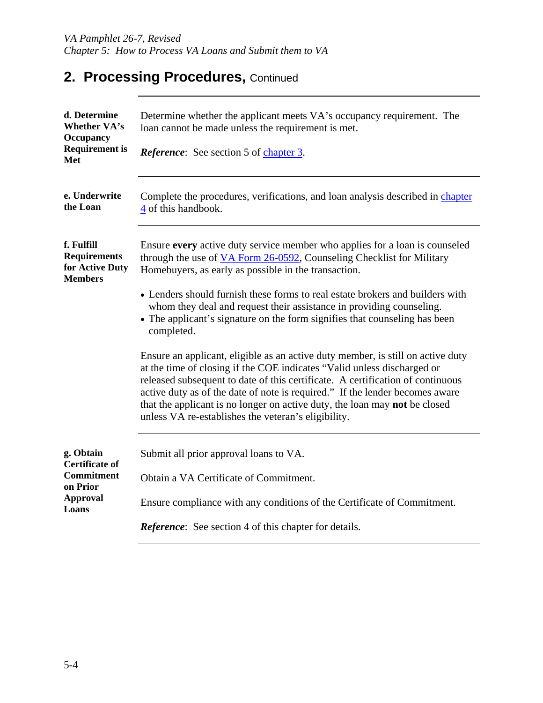# 2. Processing Procedures, Continued

| d. Determine<br><b>Whether VA's</b><br><b>Occupancy</b>                | Determine whether the applicant meets VA's occupancy requirement. The<br>loan cannot be made unless the requirement is met.                                                                                                                                                                                                                                                                                                                                       |  |  |  |  |
|------------------------------------------------------------------------|-------------------------------------------------------------------------------------------------------------------------------------------------------------------------------------------------------------------------------------------------------------------------------------------------------------------------------------------------------------------------------------------------------------------------------------------------------------------|--|--|--|--|
| <b>Requirement</b> is<br>Met                                           | <b>Reference:</b> See section 5 of chapter 3.                                                                                                                                                                                                                                                                                                                                                                                                                     |  |  |  |  |
| e. Underwrite<br>the Loan                                              | Complete the procedures, verifications, and loan analysis described in chapter<br>4 of this handbook.                                                                                                                                                                                                                                                                                                                                                             |  |  |  |  |
| f. Fulfill<br><b>Requirements</b><br>for Active Duty<br><b>Members</b> | Ensure every active duty service member who applies for a loan is counseled<br>through the use of VA Form 26-0592, Counseling Checklist for Military<br>Homebuyers, as early as possible in the transaction.                                                                                                                                                                                                                                                      |  |  |  |  |
|                                                                        | • Lenders should furnish these forms to real estate brokers and builders with<br>whom they deal and request their assistance in providing counseling.<br>• The applicant's signature on the form signifies that counseling has been<br>completed.                                                                                                                                                                                                                 |  |  |  |  |
|                                                                        | Ensure an applicant, eligible as an active duty member, is still on active duty<br>at the time of closing if the COE indicates "Valid unless discharged or<br>released subsequent to date of this certificate. A certification of continuous<br>active duty as of the date of note is required." If the lender becomes aware<br>that the applicant is no longer on active duty, the loan may not be closed<br>unless VA re-establishes the veteran's eligibility. |  |  |  |  |
| g. Obtain<br><b>Certificate of</b><br><b>Commitment</b>                | Submit all prior approval loans to VA.<br>Obtain a VA Certificate of Commitment.                                                                                                                                                                                                                                                                                                                                                                                  |  |  |  |  |
| on Prior<br><b>Approval</b><br>Loans                                   | Ensure compliance with any conditions of the Certificate of Commitment.                                                                                                                                                                                                                                                                                                                                                                                           |  |  |  |  |
|                                                                        | <b>Reference:</b> See section 4 of this chapter for details.                                                                                                                                                                                                                                                                                                                                                                                                      |  |  |  |  |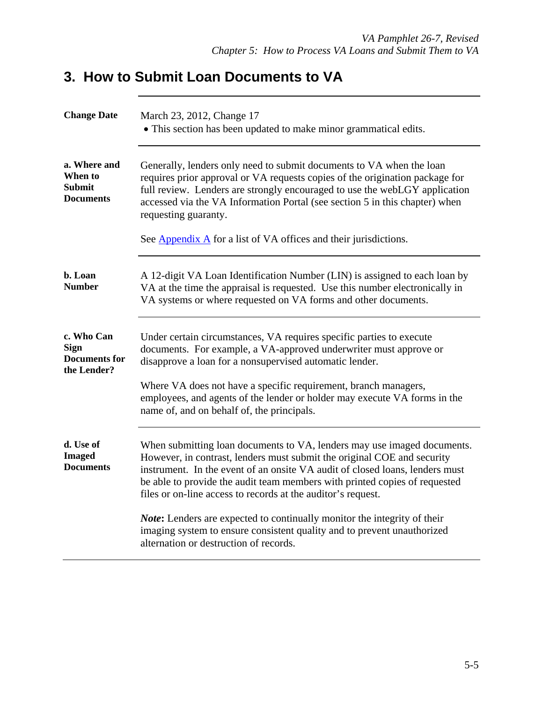# **3. How to Submit Loan Documents to VA**

| <b>Change Date</b>                                                                                                                                                                                                                                                                                                                                                                                        | March 23, 2012, Change 17<br>• This section has been updated to make minor grammatical edits.                                                                                                                                                                                                                                                                                    |  |  |  |
|-----------------------------------------------------------------------------------------------------------------------------------------------------------------------------------------------------------------------------------------------------------------------------------------------------------------------------------------------------------------------------------------------------------|----------------------------------------------------------------------------------------------------------------------------------------------------------------------------------------------------------------------------------------------------------------------------------------------------------------------------------------------------------------------------------|--|--|--|
| a. Where and<br>Generally, lenders only need to submit documents to VA when the loan<br>When to<br>requires prior approval or VA requests copies of the origination package for<br><b>Submit</b><br>full review. Lenders are strongly encouraged to use the webLGY application<br><b>Documents</b><br>accessed via the VA Information Portal (see section 5 in this chapter) when<br>requesting guaranty. |                                                                                                                                                                                                                                                                                                                                                                                  |  |  |  |
|                                                                                                                                                                                                                                                                                                                                                                                                           | See Appendix A for a list of VA offices and their jurisdictions.                                                                                                                                                                                                                                                                                                                 |  |  |  |
| b. Loan<br><b>Number</b>                                                                                                                                                                                                                                                                                                                                                                                  | A 12-digit VA Loan Identification Number (LIN) is assigned to each loan by<br>VA at the time the appraisal is requested. Use this number electronically in<br>VA systems or where requested on VA forms and other documents.                                                                                                                                                     |  |  |  |
| c. Who Can<br><b>Sign</b><br><b>Documents for</b><br>the Lender?                                                                                                                                                                                                                                                                                                                                          | Under certain circumstances, VA requires specific parties to execute<br>documents. For example, a VA-approved underwriter must approve or<br>disapprove a loan for a nonsupervised automatic lender.                                                                                                                                                                             |  |  |  |
| Where VA does not have a specific requirement, branch managers,<br>employees, and agents of the lender or holder may execute VA forms in the<br>name of, and on behalf of, the principals.                                                                                                                                                                                                                |                                                                                                                                                                                                                                                                                                                                                                                  |  |  |  |
| d. Use of<br><b>Imaged</b><br><b>Documents</b>                                                                                                                                                                                                                                                                                                                                                            | When submitting loan documents to VA, lenders may use imaged documents.<br>However, in contrast, lenders must submit the original COE and security<br>instrument. In the event of an onsite VA audit of closed loans, lenders must<br>be able to provide the audit team members with printed copies of requested<br>files or on-line access to records at the auditor's request. |  |  |  |
|                                                                                                                                                                                                                                                                                                                                                                                                           | <b>Note:</b> Lenders are expected to continually monitor the integrity of their<br>imaging system to ensure consistent quality and to prevent unauthorized<br>alternation or destruction of records.                                                                                                                                                                             |  |  |  |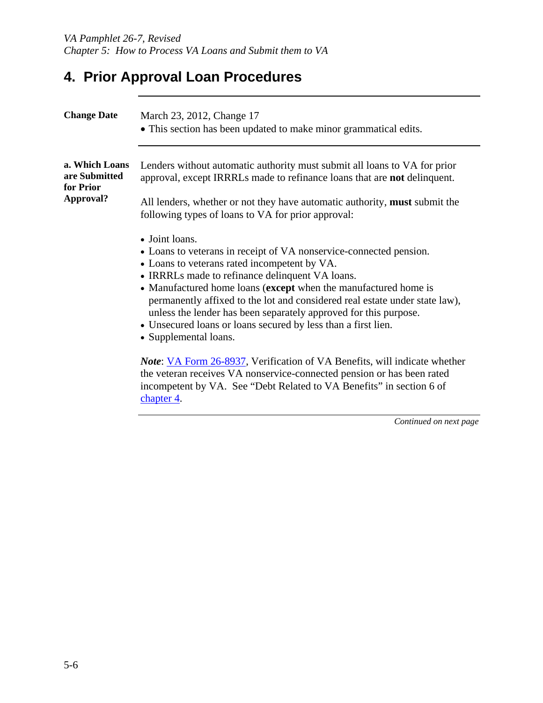# **4. Prior Approval Loan Procedures**

| <b>Change Date</b>                                        | March 23, 2012, Change 17<br>• This section has been updated to make minor grammatical edits.                                                                                                                                                                                                                                                                                                                                                                                                                                                                                                                                                                                                                                                                |  |  |  |
|-----------------------------------------------------------|--------------------------------------------------------------------------------------------------------------------------------------------------------------------------------------------------------------------------------------------------------------------------------------------------------------------------------------------------------------------------------------------------------------------------------------------------------------------------------------------------------------------------------------------------------------------------------------------------------------------------------------------------------------------------------------------------------------------------------------------------------------|--|--|--|
| a. Which Loans<br>are Submitted<br>for Prior<br>Approval? | Lenders without automatic authority must submit all loans to VA for prior<br>approval, except IRRRLs made to refinance loans that are not delinquent.<br>All lenders, whether or not they have automatic authority, must submit the<br>following types of loans to VA for prior approval:                                                                                                                                                                                                                                                                                                                                                                                                                                                                    |  |  |  |
|                                                           | • Joint loans.<br>• Loans to veterans in receipt of VA nonservice-connected pension.<br>• Loans to veterans rated incompetent by VA.<br>• IRRRLs made to refinance delinquent VA loans.<br>• Manufactured home loans (except when the manufactured home is<br>permanently affixed to the lot and considered real estate under state law),<br>unless the lender has been separately approved for this purpose.<br>• Unsecured loans or loans secured by less than a first lien.<br>• Supplemental loans.<br><i>Note</i> : VA Form 26-8937, Verification of VA Benefits, will indicate whether<br>the veteran receives VA nonservice-connected pension or has been rated<br>incompetent by VA. See "Debt Related to VA Benefits" in section 6 of<br>chapter 4. |  |  |  |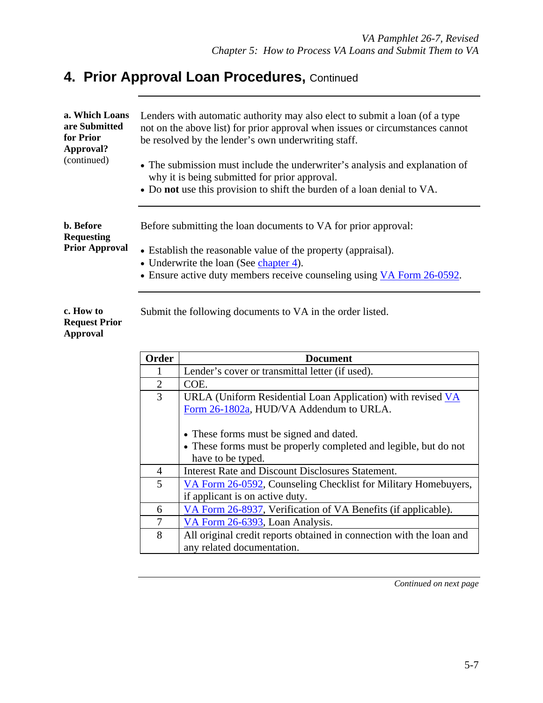| a. Which Loans<br>are Submitted<br>for Prior<br>Approval?<br>(continued)<br>b. Before<br><b>Requesting</b><br><b>Prior Approval</b> |                        | Lenders with automatic authority may also elect to submit a loan (of a type)<br>not on the above list) for prior approval when issues or circumstances cannot<br>be resolved by the lender's own underwriting staff.<br>• The submission must include the underwriter's analysis and explanation of<br>why it is being submitted for prior approval.<br>• Do not use this provision to shift the burden of a loan denial to VA.<br>Before submitting the loan documents to VA for prior approval:<br>• Establish the reasonable value of the property (appraisal).<br>• Underwrite the loan (See chapter 4).<br>• Ensure active duty members receive counseling using VA Form 26-0592. |  |  |  |  |  |  |
|-------------------------------------------------------------------------------------------------------------------------------------|------------------------|----------------------------------------------------------------------------------------------------------------------------------------------------------------------------------------------------------------------------------------------------------------------------------------------------------------------------------------------------------------------------------------------------------------------------------------------------------------------------------------------------------------------------------------------------------------------------------------------------------------------------------------------------------------------------------------|--|--|--|--|--|--|
| c. How to<br><b>Request Prior</b><br>Approval                                                                                       |                        | Submit the following documents to VA in the order listed.                                                                                                                                                                                                                                                                                                                                                                                                                                                                                                                                                                                                                              |  |  |  |  |  |  |
|                                                                                                                                     | <b>Order</b>           | <b>Document</b>                                                                                                                                                                                                                                                                                                                                                                                                                                                                                                                                                                                                                                                                        |  |  |  |  |  |  |
| Lender's cover or transmittal letter (if used).                                                                                     |                        |                                                                                                                                                                                                                                                                                                                                                                                                                                                                                                                                                                                                                                                                                        |  |  |  |  |  |  |
|                                                                                                                                     | $\overline{2}$<br>COE. |                                                                                                                                                                                                                                                                                                                                                                                                                                                                                                                                                                                                                                                                                        |  |  |  |  |  |  |
|                                                                                                                                     | $\overline{3}$         | URLA (Uniform Residential Loan Application) with revised VA                                                                                                                                                                                                                                                                                                                                                                                                                                                                                                                                                                                                                            |  |  |  |  |  |  |
|                                                                                                                                     |                        | Form 26-1802a, HUD/VA Addendum to URLA.                                                                                                                                                                                                                                                                                                                                                                                                                                                                                                                                                                                                                                                |  |  |  |  |  |  |

|   | • These forms must be signed and dated.<br>• These forms must be properly completed and legible, but do not<br>have to be typed. |
|---|----------------------------------------------------------------------------------------------------------------------------------|
|   | Interest Rate and Discount Disclosures Statement.                                                                                |
| 5 | VA Form 26-0592, Counseling Checklist for Military Homebuyers,                                                                   |
|   | if applicant is on active duty.                                                                                                  |
| 6 | VA Form 26-8937, Verification of VA Benefits (if applicable).                                                                    |
| 7 | VA Form 26-6393, Loan Analysis.                                                                                                  |
| 8 | All original credit reports obtained in connection with the loan and                                                             |
|   | any related documentation.                                                                                                       |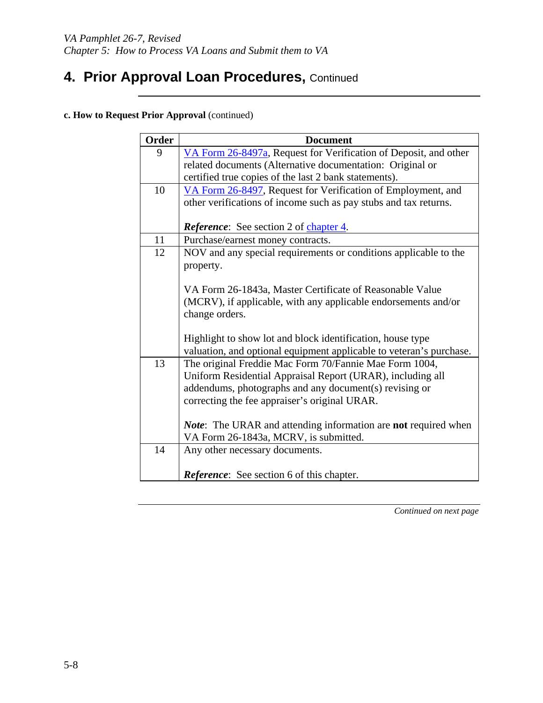**c. How to Request Prior Approval** (continued)

| Order | <b>Document</b>                                                              |  |  |  |  |  |  |  |
|-------|------------------------------------------------------------------------------|--|--|--|--|--|--|--|
| 9     | VA Form 26-8497a, Request for Verification of Deposit, and other             |  |  |  |  |  |  |  |
|       | related documents (Alternative documentation: Original or                    |  |  |  |  |  |  |  |
|       | certified true copies of the last 2 bank statements).                        |  |  |  |  |  |  |  |
| 10    | VA Form 26-8497, Request for Verification of Employment, and                 |  |  |  |  |  |  |  |
|       | other verifications of income such as pay stubs and tax returns.             |  |  |  |  |  |  |  |
|       |                                                                              |  |  |  |  |  |  |  |
|       | <b>Reference:</b> See section 2 of chapter 4.                                |  |  |  |  |  |  |  |
| 11    | Purchase/earnest money contracts.                                            |  |  |  |  |  |  |  |
| 12    | NOV and any special requirements or conditions applicable to the             |  |  |  |  |  |  |  |
|       | property.                                                                    |  |  |  |  |  |  |  |
|       |                                                                              |  |  |  |  |  |  |  |
|       | VA Form 26-1843a, Master Certificate of Reasonable Value                     |  |  |  |  |  |  |  |
|       | (MCRV), if applicable, with any applicable endorsements and/or               |  |  |  |  |  |  |  |
|       | change orders.                                                               |  |  |  |  |  |  |  |
|       |                                                                              |  |  |  |  |  |  |  |
|       | Highlight to show lot and block identification, house type                   |  |  |  |  |  |  |  |
|       | valuation, and optional equipment applicable to veteran's purchase.          |  |  |  |  |  |  |  |
| 13    | The original Freddie Mac Form 70/Fannie Mae Form 1004,                       |  |  |  |  |  |  |  |
|       | Uniform Residential Appraisal Report (URAR), including all                   |  |  |  |  |  |  |  |
|       | addendums, photographs and any document(s) revising or                       |  |  |  |  |  |  |  |
|       | correcting the fee appraiser's original URAR.                                |  |  |  |  |  |  |  |
|       |                                                                              |  |  |  |  |  |  |  |
|       | <b>Note:</b> The URAR and attending information are <b>not</b> required when |  |  |  |  |  |  |  |
| 14    | VA Form 26-1843a, MCRV, is submitted.                                        |  |  |  |  |  |  |  |
|       | Any other necessary documents.                                               |  |  |  |  |  |  |  |
|       | <b>Reference:</b> See section 6 of this chapter.                             |  |  |  |  |  |  |  |
|       |                                                                              |  |  |  |  |  |  |  |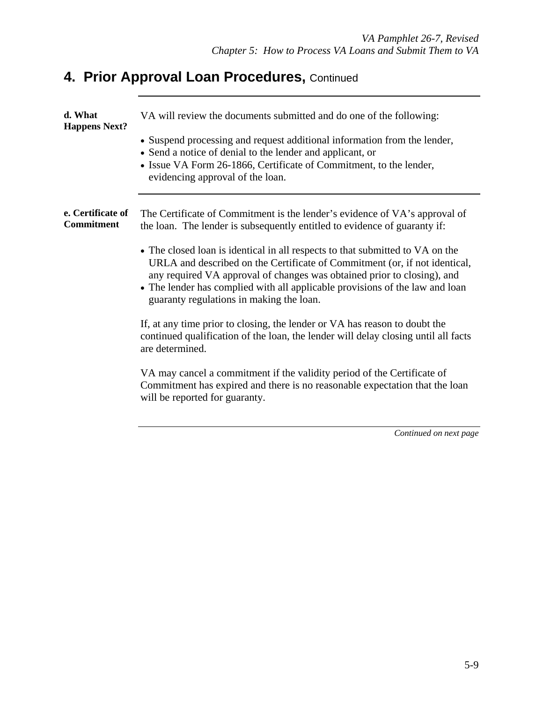| d. What<br><b>Happens Next?</b>        | VA will review the documents submitted and do one of the following:<br>• Suspend processing and request additional information from the lender,<br>• Send a notice of denial to the lender and applicant, or<br>• Issue VA Form 26-1866, Certificate of Commitment, to the lender,<br>evidencing approval of the loan.                                                                                                                                                                                                                                                                                                                                                                                                                                                                                                                                                                                           |
|----------------------------------------|------------------------------------------------------------------------------------------------------------------------------------------------------------------------------------------------------------------------------------------------------------------------------------------------------------------------------------------------------------------------------------------------------------------------------------------------------------------------------------------------------------------------------------------------------------------------------------------------------------------------------------------------------------------------------------------------------------------------------------------------------------------------------------------------------------------------------------------------------------------------------------------------------------------|
| e. Certificate of<br><b>Commitment</b> | The Certificate of Commitment is the lender's evidence of VA's approval of<br>the loan. The lender is subsequently entitled to evidence of guaranty if:<br>• The closed loan is identical in all respects to that submitted to VA on the<br>URLA and described on the Certificate of Commitment (or, if not identical,<br>any required VA approval of changes was obtained prior to closing), and<br>• The lender has complied with all applicable provisions of the law and loan<br>guaranty regulations in making the loan.<br>If, at any time prior to closing, the lender or VA has reason to doubt the<br>continued qualification of the loan, the lender will delay closing until all facts<br>are determined.<br>VA may cancel a commitment if the validity period of the Certificate of<br>Commitment has expired and there is no reasonable expectation that the loan<br>will be reported for guaranty. |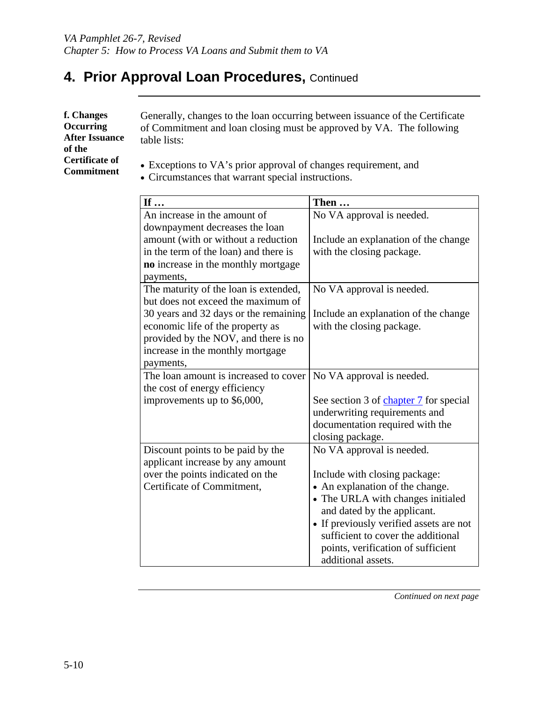**f. Changes Occurring After Issuance of the Certificate of Commitment** 

Generally, changes to the loan occurring between issuance of the Certificate of Commitment and loan closing must be approved by VA. The following table lists:

- Exceptions to VA's prior approval of changes requirement, and
- Circumstances that warrant special instructions.

| If                                    | Then                                    |
|---------------------------------------|-----------------------------------------|
| An increase in the amount of          | No VA approval is needed.               |
| downpayment decreases the loan        |                                         |
| amount (with or without a reduction   | Include an explanation of the change    |
| in the term of the loan) and there is | with the closing package.               |
| no increase in the monthly mortgage   |                                         |
| payments,                             |                                         |
| The maturity of the loan is extended, | No VA approval is needed.               |
| but does not exceed the maximum of    |                                         |
| 30 years and 32 days or the remaining | Include an explanation of the change    |
| economic life of the property as      | with the closing package.               |
| provided by the NOV, and there is no  |                                         |
| increase in the monthly mortgage      |                                         |
| payments,                             |                                         |
| The loan amount is increased to cover | No VA approval is needed.               |
| the cost of energy efficiency         |                                         |
| improvements up to \$6,000,           | See section 3 of chapter 7 for special  |
|                                       | underwriting requirements and           |
|                                       | documentation required with the         |
|                                       | closing package.                        |
| Discount points to be paid by the     | No VA approval is needed.               |
| applicant increase by any amount      |                                         |
| over the points indicated on the      | Include with closing package:           |
| Certificate of Commitment,            | • An explanation of the change.         |
|                                       | • The URLA with changes initialed       |
|                                       | and dated by the applicant.             |
|                                       | • If previously verified assets are not |
|                                       | sufficient to cover the additional      |
|                                       | points, verification of sufficient      |
|                                       | additional assets.                      |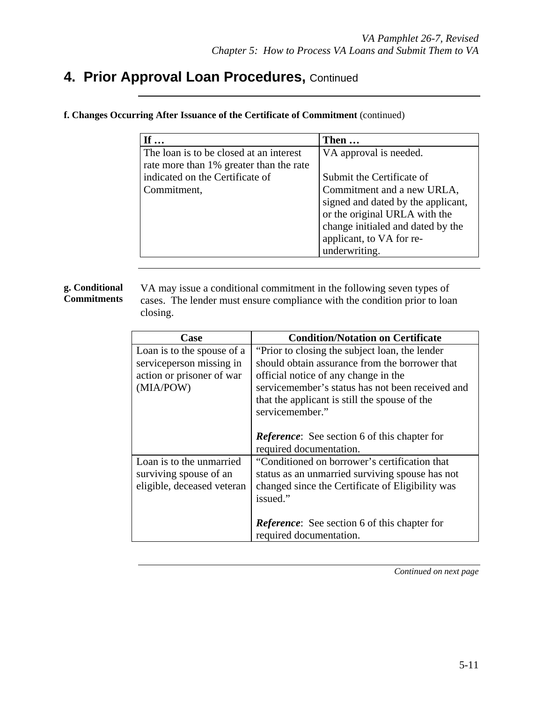|  |  |  | f. Changes Occurring After Issuance of the Certificate of Commitment (continued) |  |
|--|--|--|----------------------------------------------------------------------------------|--|
|  |  |  |                                                                                  |  |

| If $\ldots$                             | Then                               |
|-----------------------------------------|------------------------------------|
| The loan is to be closed at an interest | VA approval is needed.             |
| rate more than 1% greater than the rate |                                    |
| indicated on the Certificate of         | Submit the Certificate of          |
| Commitment,                             | Commitment and a new URLA,         |
|                                         | signed and dated by the applicant, |
|                                         | or the original URLA with the      |
|                                         | change initialed and dated by the  |
|                                         | applicant, to VA for re-           |
|                                         | underwriting.                      |

#### **g. Conditional Commitments**

VA may issue a conditional commitment in the following seven types of cases. The lender must ensure compliance with the condition prior to loan closing.

| Case                                                                                              | <b>Condition/Notation on Certificate</b>                                                                                                                                                                                                                         |
|---------------------------------------------------------------------------------------------------|------------------------------------------------------------------------------------------------------------------------------------------------------------------------------------------------------------------------------------------------------------------|
| Loan is to the spouse of a<br>service person missing in<br>action or prisoner of war<br>(MIA/POW) | "Prior to closing the subject loan, the lender<br>should obtain assurance from the borrower that<br>official notice of any change in the<br>servicemember's status has not been received and<br>that the applicant is still the spouse of the<br>servicemember." |
|                                                                                                   | <b>Reference:</b> See section 6 of this chapter for<br>required documentation.                                                                                                                                                                                   |
| Loan is to the unmarried<br>surviving spouse of an<br>eligible, deceased veteran                  | "Conditioned on borrower's certification that<br>status as an unmarried surviving spouse has not<br>changed since the Certificate of Eligibility was<br>issued."                                                                                                 |
|                                                                                                   | <b>Reference:</b> See section 6 of this chapter for<br>required documentation.                                                                                                                                                                                   |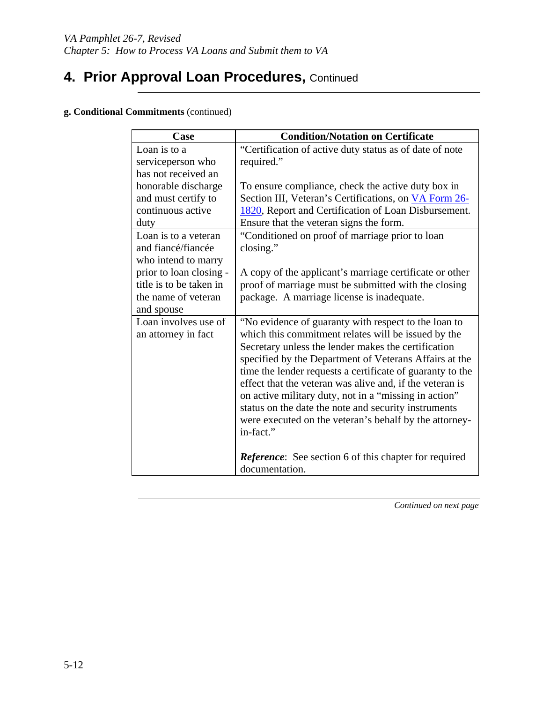#### **g. Conditional Commitments** (continued)

| Case                    | <b>Condition/Notation on Certificate</b>                     |
|-------------------------|--------------------------------------------------------------|
| Loan is to a            | "Certification of active duty status as of date of note      |
| serviceperson who       | required."                                                   |
| has not received an     |                                                              |
| honorable discharge     | To ensure compliance, check the active duty box in           |
| and must certify to     | Section III, Veteran's Certifications, on VA Form 26-        |
| continuous active       | 1820, Report and Certification of Loan Disbursement.         |
| duty                    | Ensure that the veteran signs the form.                      |
| Loan is to a veteran    | "Conditioned on proof of marriage prior to loan              |
| and fiancé/fiancée      | closing."                                                    |
| who intend to marry     |                                                              |
| prior to loan closing - | A copy of the applicant's marriage certificate or other      |
| title is to be taken in | proof of marriage must be submitted with the closing         |
| the name of veteran     | package. A marriage license is inadequate.                   |
| and spouse              |                                                              |
| Loan involves use of    | "No evidence of guaranty with respect to the loan to         |
| an attorney in fact     | which this commitment relates will be issued by the          |
|                         | Secretary unless the lender makes the certification          |
|                         | specified by the Department of Veterans Affairs at the       |
|                         | time the lender requests a certificate of guaranty to the    |
|                         | effect that the veteran was alive and, if the veteran is     |
|                         | on active military duty, not in a "missing in action"        |
|                         | status on the date the note and security instruments         |
|                         | were executed on the veteran's behalf by the attorney-       |
|                         | in-fact."                                                    |
|                         |                                                              |
|                         | <b>Reference:</b> See section 6 of this chapter for required |
|                         | documentation.                                               |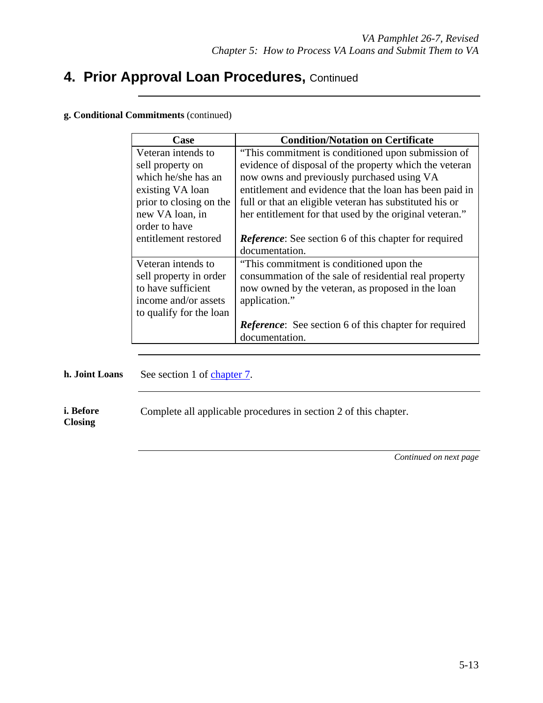#### **g. Conditional Commitments** (continued)

| Case                    | <b>Condition/Notation on Certificate</b>                     |
|-------------------------|--------------------------------------------------------------|
| Veteran intends to      | "This commitment is conditioned upon submission of           |
| sell property on        | evidence of disposal of the property which the veteran       |
| which he/she has an     | now owns and previously purchased using VA                   |
| existing VA loan        | entitlement and evidence that the loan has been paid in      |
| prior to closing on the | full or that an eligible veteran has substituted his or      |
| new VA loan, in         | her entitlement for that used by the original veteran."      |
| order to have           |                                                              |
| entitlement restored    | <b>Reference:</b> See section 6 of this chapter for required |
|                         | documentation.                                               |
| Veteran intends to      | "This commitment is conditioned upon the                     |
| sell property in order  | consummation of the sale of residential real property        |
| to have sufficient      | now owned by the veteran, as proposed in the loan            |
| income and/or assets    | application."                                                |
| to qualify for the loan |                                                              |
|                         | <b>Reference:</b> See section 6 of this chapter for required |
|                         | documentation.                                               |

**h. Joint Loans** See section 1 of chapter 7.

**i. Before**  Complete all applicable procedures in section 2 of this chapter.

**Closing**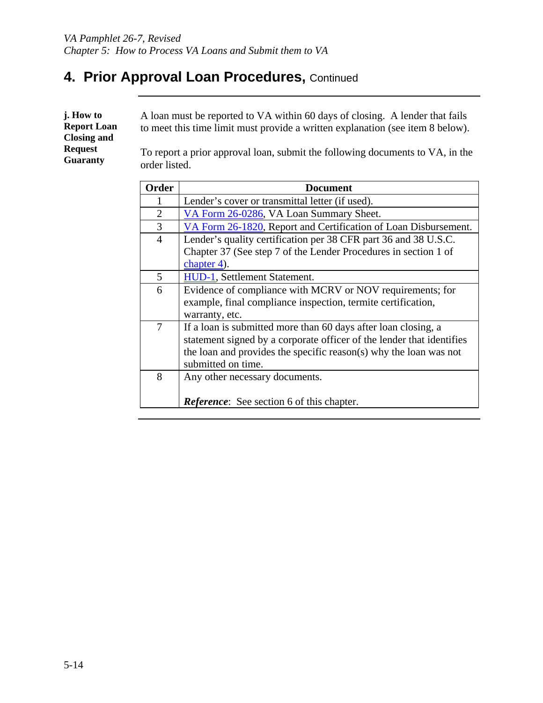| j. How to                                | A loan must be reported to VA within 60 days of closing. A lender that fails                   |
|------------------------------------------|------------------------------------------------------------------------------------------------|
| <b>Report Loan</b><br><b>Closing and</b> | to meet this time limit must provide a written explanation (see item 8 below).                 |
| <b>Request</b><br><b>Guaranty</b>        | To report a prior approval loan, submit the following documents to VA, in the<br>order listed. |

| Order          | Document                                                              |
|----------------|-----------------------------------------------------------------------|
| 1              | Lender's cover or transmittal letter (if used).                       |
| $\overline{2}$ | VA Form 26-0286, VA Loan Summary Sheet.                               |
| 3              | VA Form 26-1820, Report and Certification of Loan Disbursement.       |
| $\overline{4}$ | Lender's quality certification per 38 CFR part 36 and 38 U.S.C.       |
|                | Chapter 37 (See step 7 of the Lender Procedures in section 1 of       |
|                | chapter 4).                                                           |
| 5              | HUD-1, Settlement Statement.                                          |
| 6              | Evidence of compliance with MCRV or NOV requirements; for             |
|                | example, final compliance inspection, termite certification,          |
|                | warranty, etc.                                                        |
| 7              | If a loan is submitted more than 60 days after loan closing, a        |
|                | statement signed by a corporate officer of the lender that identifies |
|                | the loan and provides the specific reason(s) why the loan was not     |
|                | submitted on time.                                                    |
| 8              | Any other necessary documents.                                        |
|                |                                                                       |
|                | <b>Reference:</b> See section 6 of this chapter.                      |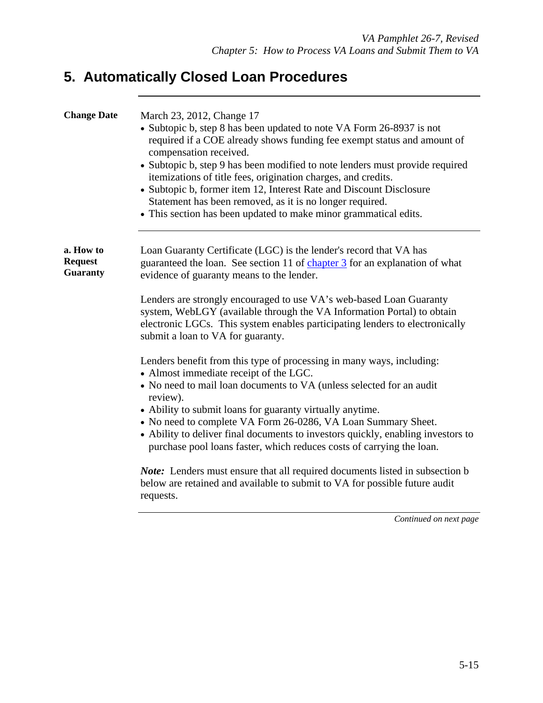# **5. Automatically Closed Loan Procedures**

| <b>Change Date</b>                             | March 23, 2012, Change 17<br>• Subtopic b, step 8 has been updated to note VA Form 26-8937 is not<br>required if a COE already shows funding fee exempt status and amount of<br>compensation received.<br>• Subtopic b, step 9 has been modified to note lenders must provide required<br>itemizations of title fees, origination charges, and credits.<br>• Subtopic b, former item 12, Interest Rate and Discount Disclosure<br>Statement has been removed, as it is no longer required.<br>• This section has been updated to make minor grammatical edits.                                                                                                                                                                                                                                                                                                                                                                                                                                                                                                                                                                                           |
|------------------------------------------------|----------------------------------------------------------------------------------------------------------------------------------------------------------------------------------------------------------------------------------------------------------------------------------------------------------------------------------------------------------------------------------------------------------------------------------------------------------------------------------------------------------------------------------------------------------------------------------------------------------------------------------------------------------------------------------------------------------------------------------------------------------------------------------------------------------------------------------------------------------------------------------------------------------------------------------------------------------------------------------------------------------------------------------------------------------------------------------------------------------------------------------------------------------|
| a. How to<br><b>Request</b><br><b>Guaranty</b> | Loan Guaranty Certificate (LGC) is the lender's record that VA has<br>guaranteed the loan. See section 11 of chapter 3 for an explanation of what<br>evidence of guaranty means to the lender.<br>Lenders are strongly encouraged to use VA's web-based Loan Guaranty<br>system, WebLGY (available through the VA Information Portal) to obtain<br>electronic LGCs. This system enables participating lenders to electronically<br>submit a loan to VA for guaranty.<br>Lenders benefit from this type of processing in many ways, including:<br>• Almost immediate receipt of the LGC.<br>• No need to mail loan documents to VA (unless selected for an audit<br>review).<br>• Ability to submit loans for guaranty virtually anytime.<br>• No need to complete VA Form 26-0286, VA Loan Summary Sheet.<br>• Ability to deliver final documents to investors quickly, enabling investors to<br>purchase pool loans faster, which reduces costs of carrying the loan.<br><i>Note:</i> Lenders must ensure that all required documents listed in subsection b<br>below are retained and available to submit to VA for possible future audit<br>requests. |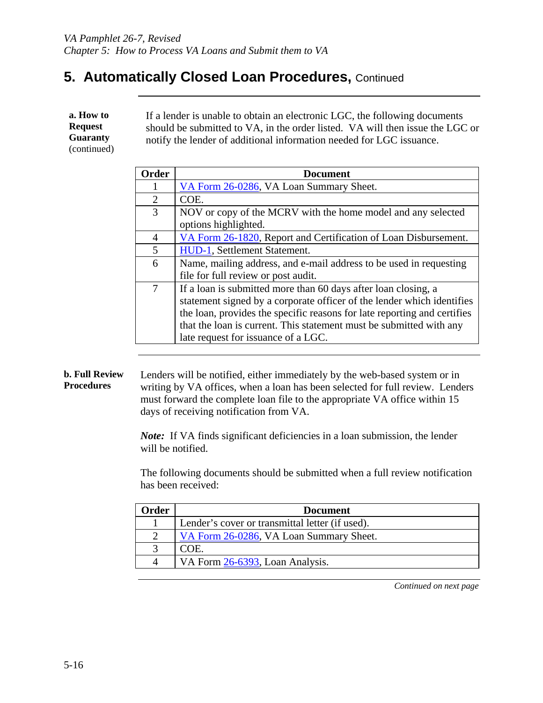## **5. Automatically Closed Loan Procedures, Continued**

| a. How to<br><b>Request</b><br><b>Guaranty</b><br>(continued) | If a lender is unable to obtain an electronic LGC, the following documents<br>should be submitted to VA, in the order listed. VA will then issue the LGC or<br>notify the lender of additional information needed for LGC issuance. |                                                                 |  |
|---------------------------------------------------------------|-------------------------------------------------------------------------------------------------------------------------------------------------------------------------------------------------------------------------------------|-----------------------------------------------------------------|--|
|                                                               | Order                                                                                                                                                                                                                               | <b>Document</b>                                                 |  |
|                                                               |                                                                                                                                                                                                                                     | VA Form 26-0286, VA Loan Summary Sheet.                         |  |
|                                                               | 2                                                                                                                                                                                                                                   | COE.                                                            |  |
|                                                               | 3                                                                                                                                                                                                                                   | NOV or copy of the MCRV with the home model and any selected    |  |
|                                                               |                                                                                                                                                                                                                                     | options highlighted.                                            |  |
|                                                               |                                                                                                                                                                                                                                     | VA Form 26-1820. Report and Certification of Loan Disbursement. |  |

| 5 | HUD-1, Settlement Statement.                                             |
|---|--------------------------------------------------------------------------|
| 6 | Name, mailing address, and e-mail address to be used in requesting       |
|   | file for full review or post audit.                                      |
|   | If a loan is submitted more than 60 days after loan closing, a           |
|   | statement signed by a corporate officer of the lender which identifies   |
|   | the loan, provides the specific reasons for late reporting and certifies |
|   | that the loan is current. This statement must be submitted with any      |
|   | late request for issuance of a LGC.                                      |

#### **b. Full Review Procedures**  Lenders will be notified, either immediately by the web-based system or in writing by VA offices, when a loan has been selected for full review. Lenders must forward the complete loan file to the appropriate VA office within 15 days of receiving notification from VA.

*Note:* If VA finds significant deficiencies in a loan submission, the lender will be notified.

The following documents should be submitted when a full review notification has been received:

| Order | <b>Document</b>                                 |
|-------|-------------------------------------------------|
|       | Lender's cover or transmittal letter (if used). |
|       | VA Form 26-0286, VA Loan Summary Sheet.         |
|       | COE.                                            |
|       | VA Form 26-6393, Loan Analysis.                 |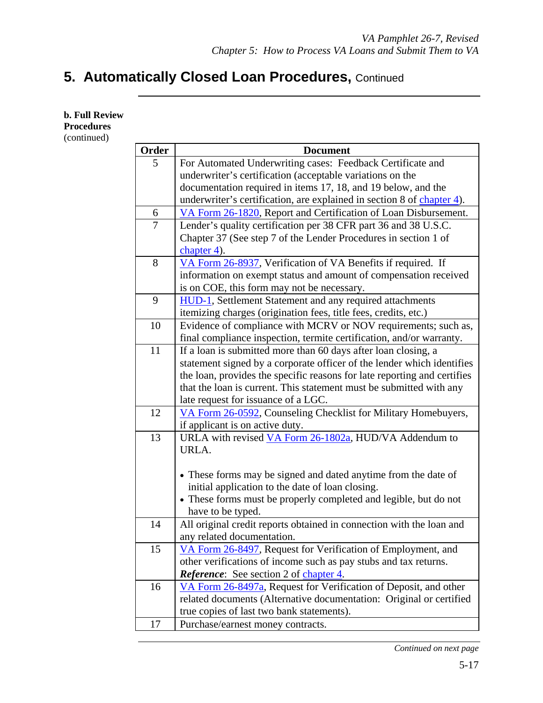# **5. Automatically Closed Loan Procedures, Continued**

| <b>b. Full Review</b>            |                |                                                                          |
|----------------------------------|----------------|--------------------------------------------------------------------------|
| <b>Procedures</b><br>(continued) |                |                                                                          |
|                                  | Order          | <b>Document</b>                                                          |
|                                  | 5              | For Automated Underwriting cases: Feedback Certificate and               |
|                                  |                | underwriter's certification (acceptable variations on the                |
|                                  |                | documentation required in items 17, 18, and 19 below, and the            |
|                                  |                | underwriter's certification, are explained in section 8 of chapter 4).   |
|                                  | 6              | VA Form 26-1820, Report and Certification of Loan Disbursement.          |
|                                  | $\overline{7}$ | Lender's quality certification per 38 CFR part 36 and 38 U.S.C.          |
|                                  |                | Chapter 37 (See step 7 of the Lender Procedures in section 1 of          |
|                                  |                | chapter $4$ ).                                                           |
|                                  | 8              | VA Form 26-8937, Verification of VA Benefits if required. If             |
|                                  |                | information on exempt status and amount of compensation received         |
|                                  |                | is on COE, this form may not be necessary.                               |
|                                  | 9              | <b>HUD-1</b> , Settlement Statement and any required attachments         |
|                                  |                | itemizing charges (origination fees, title fees, credits, etc.)          |
|                                  | 10             | Evidence of compliance with MCRV or NOV requirements; such as,           |
|                                  |                | final compliance inspection, termite certification, and/or warranty.     |
|                                  | 11             | If a loan is submitted more than 60 days after loan closing, a           |
|                                  |                | statement signed by a corporate officer of the lender which identifies   |
|                                  |                | the loan, provides the specific reasons for late reporting and certifies |
|                                  |                | that the loan is current. This statement must be submitted with any      |
|                                  |                | late request for issuance of a LGC.                                      |
|                                  | 12             | VA Form 26-0592, Counseling Checklist for Military Homebuyers,           |
|                                  |                | if applicant is on active duty.                                          |
|                                  | 13             | URLA with revised VA Form 26-1802a, HUD/VA Addendum to                   |
|                                  |                | URLA.                                                                    |
|                                  |                |                                                                          |
|                                  |                | • These forms may be signed and dated anytime from the date of           |
|                                  |                | initial application to the date of loan closing.                         |
|                                  |                | • These forms must be properly completed and legible, but do not         |
|                                  |                | have to be typed.                                                        |
|                                  | 14             | All original credit reports obtained in connection with the loan and     |
|                                  |                | any related documentation.                                               |
|                                  | 15             | VA Form 26-8497, Request for Verification of Employment, and             |
|                                  |                | other verifications of income such as pay stubs and tax returns.         |
|                                  |                | <b>Reference:</b> See section 2 of chapter 4.                            |
|                                  | 16             | VA Form 26-8497a, Request for Verification of Deposit, and other         |
|                                  |                | related documents (Alternative documentation: Original or certified      |
|                                  |                | true copies of last two bank statements).                                |
|                                  | 17             | Purchase/earnest money contracts.                                        |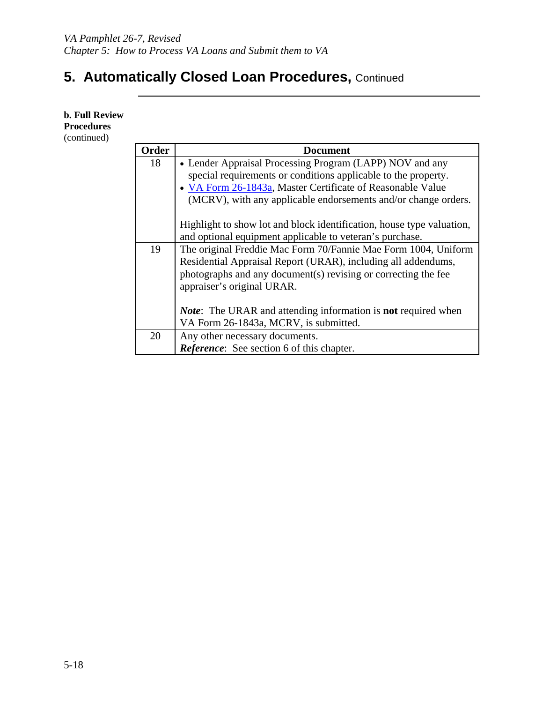# **5. Automatically Closed Loan Procedures,** Continued

**b. Full Review Procedures**  (continued)

| <b>Order</b> | <b>Document</b>                                                              |
|--------------|------------------------------------------------------------------------------|
| 18           | • Lender Appraisal Processing Program (LAPP) NOV and any                     |
|              | special requirements or conditions applicable to the property.               |
|              | • VA Form 26-1843a, Master Certificate of Reasonable Value                   |
|              | (MCRV), with any applicable endorsements and/or change orders.               |
|              |                                                                              |
|              | Highlight to show lot and block identification, house type valuation,        |
|              | and optional equipment applicable to veteran's purchase.                     |
| 19           | The original Freddie Mac Form 70/Fannie Mae Form 1004, Uniform               |
|              | Residential Appraisal Report (URAR), including all addendums,                |
|              | photographs and any document(s) revising or correcting the fee               |
|              | appraiser's original URAR.                                                   |
|              |                                                                              |
|              | <i>Note</i> : The URAR and attending information is <b>not</b> required when |
|              | VA Form 26-1843a, MCRV, is submitted.                                        |
| 20           | Any other necessary documents.                                               |
|              | <b>Reference:</b> See section 6 of this chapter.                             |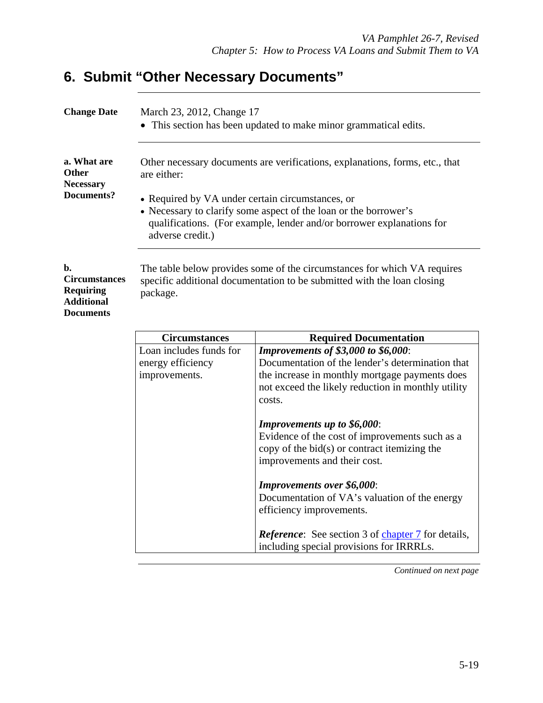# **6. Submit "Other Necessary Documents"**

| <b>Change Date</b>                                                                      | March 23, 2012, Change 17                                                                                                                                                                                         | This section has been updated to make minor grammatical edits.               |  |
|-----------------------------------------------------------------------------------------|-------------------------------------------------------------------------------------------------------------------------------------------------------------------------------------------------------------------|------------------------------------------------------------------------------|--|
| a. What are<br><b>Other</b><br><b>Necessary</b>                                         | are either:                                                                                                                                                                                                       | Other necessary documents are verifications, explanations, forms, etc., that |  |
| Documents?                                                                              | • Required by VA under certain circumstances, or<br>• Necessary to clarify some aspect of the loan or the borrower's<br>qualifications. (For example, lender and/or borrower explanations for<br>adverse credit.) |                                                                              |  |
| b.<br><b>Circumstances</b><br><b>Requiring</b><br><b>Additional</b><br><b>Documents</b> | The table below provides some of the circumstances for which VA requires<br>specific additional documentation to be submitted with the loan closing<br>package.                                                   |                                                                              |  |
|                                                                                         | <b>Circumstances</b><br><b>Required Documentation</b>                                                                                                                                                             |                                                                              |  |
|                                                                                         | Loan includes funds for                                                                                                                                                                                           | <b>Improvements of \$3,000 to \$6,000:</b>                                   |  |
|                                                                                         | energy efficiency                                                                                                                                                                                                 | Documentation of the lender's determination that                             |  |
|                                                                                         | improvements.                                                                                                                                                                                                     | the increase in monthly mortgage payments does                               |  |
|                                                                                         |                                                                                                                                                                                                                   | not exceed the likely reduction in monthly utility<br>costs.                 |  |
|                                                                                         |                                                                                                                                                                                                                   | Improvements up to \$6,000:                                                  |  |
|                                                                                         |                                                                                                                                                                                                                   | Evidence of the cost of improvements such as a                               |  |
|                                                                                         |                                                                                                                                                                                                                   | copy of the bid(s) or contract itemizing the<br>improvements and their cost. |  |
|                                                                                         |                                                                                                                                                                                                                   | <b>Improvements over \$6,000:</b>                                            |  |
|                                                                                         |                                                                                                                                                                                                                   | Documentation of VA's valuation of the energy<br>efficiency improvements.    |  |

*Reference*: See section 3 of chapter 7 for details, including special provisions for IRRRLs.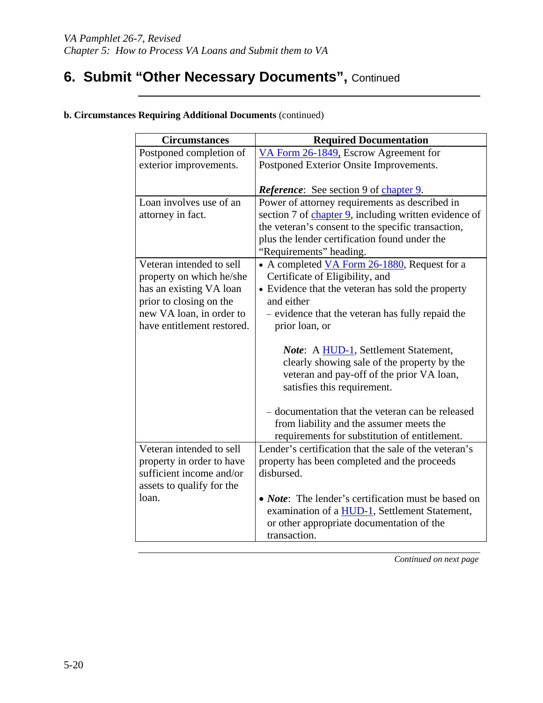# **6. Submit "Other Necessary Documents", Continued**

| <b>Circumstances</b>                                                                                                                                                 | <b>Required Documentation</b>                                                                                                                                                                                                             |
|----------------------------------------------------------------------------------------------------------------------------------------------------------------------|-------------------------------------------------------------------------------------------------------------------------------------------------------------------------------------------------------------------------------------------|
| Postponed completion of                                                                                                                                              | VA Form 26-1849, Escrow Agreement for                                                                                                                                                                                                     |
| exterior improvements.                                                                                                                                               | Postponed Exterior Onsite Improvements.                                                                                                                                                                                                   |
|                                                                                                                                                                      | <b>Reference:</b> See section 9 of chapter 9.                                                                                                                                                                                             |
| Loan involves use of an<br>attorney in fact.                                                                                                                         | Power of attorney requirements as described in<br>section 7 of chapter 9, including written evidence of<br>the veteran's consent to the specific transaction,<br>plus the lender certification found under the<br>"Requirements" heading. |
| Veteran intended to sell<br>property on which he/she<br>has an existing VA loan<br>prior to closing on the<br>new VA loan, in order to<br>have entitlement restored. | • A completed VA Form 26-1880, Request for a<br>Certificate of Eligibility, and<br>• Evidence that the veteran has sold the property<br>and either<br>- evidence that the veteran has fully repaid the<br>prior loan, or                  |
|                                                                                                                                                                      | Note: A HUD-1, Settlement Statement,<br>clearly showing sale of the property by the<br>veteran and pay-off of the prior VA loan,<br>satisfies this requirement.<br>- documentation that the veteran can be released                       |
|                                                                                                                                                                      | from liability and the assumer meets the<br>requirements for substitution of entitlement.                                                                                                                                                 |
| Veteran intended to sell<br>property in order to have<br>sufficient income and/or<br>assets to qualify for the                                                       | Lender's certification that the sale of the veteran's<br>property has been completed and the proceeds<br>disbursed.                                                                                                                       |
| loan.                                                                                                                                                                | • <i>Note</i> : The lender's certification must be based on<br>examination of a <b>HUD-1</b> , Settlement Statement,<br>or other appropriate documentation of the<br>transaction.                                                         |

#### **b. Circumstances Requiring Additional Documents** (continued)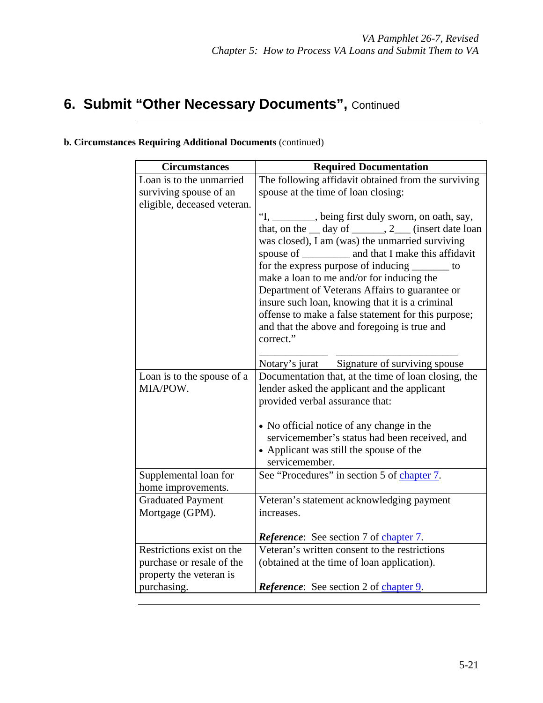# **6. Submit "Other Necessary Documents", Continued**

|  | <b>b. Circumstances Requiring Additional Documents (continued)</b> |  |
|--|--------------------------------------------------------------------|--|
|  |                                                                    |  |

| <b>Circumstances</b>                   | <b>Required Documentation</b>                                                                |
|----------------------------------------|----------------------------------------------------------------------------------------------|
| Loan is to the unmarried               | The following affidavit obtained from the surviving                                          |
| surviving spouse of an                 | spouse at the time of loan closing:                                                          |
| eligible, deceased veteran.            |                                                                                              |
|                                        | "I, ________, being first duly sworn, on oath, say,                                          |
|                                        | that, on the $\_\$ day of $\_\_\_\_$ , 2 $\_\_\_\$ (insert date loan                         |
|                                        | was closed), I am (was) the unmarried surviving                                              |
|                                        |                                                                                              |
|                                        | for the express purpose of inducing ________ to<br>make a loan to me and/or for inducing the |
|                                        | Department of Veterans Affairs to guarantee or                                               |
|                                        | insure such loan, knowing that it is a criminal                                              |
|                                        | offense to make a false statement for this purpose;                                          |
|                                        | and that the above and foregoing is true and                                                 |
|                                        | correct."                                                                                    |
|                                        |                                                                                              |
|                                        | Notary's jurat Signature of surviving spouse                                                 |
| Loan is to the spouse of a             | Documentation that, at the time of loan closing, the                                         |
| MIA/POW.                               | lender asked the applicant and the applicant                                                 |
|                                        | provided verbal assurance that:                                                              |
|                                        | • No official notice of any change in the                                                    |
|                                        | servicemember's status had been received, and                                                |
|                                        | • Applicant was still the spouse of the                                                      |
|                                        | servicemember.                                                                               |
| Supplemental loan for                  | See "Procedures" in section 5 of chapter 7.                                                  |
| home improvements.                     |                                                                                              |
| <b>Graduated Payment</b>               | Veteran's statement acknowledging payment                                                    |
| Mortgage (GPM).                        | increases.                                                                                   |
|                                        |                                                                                              |
|                                        | <i>Reference</i> : See section 7 of chapter 7.                                               |
| Restrictions exist on the              | Veteran's written consent to the restrictions                                                |
| purchase or resale of the              | (obtained at the time of loan application).                                                  |
| property the veteran is<br>purchasing. | <i>Reference</i> : See section 2 of chapter 9.                                               |
|                                        |                                                                                              |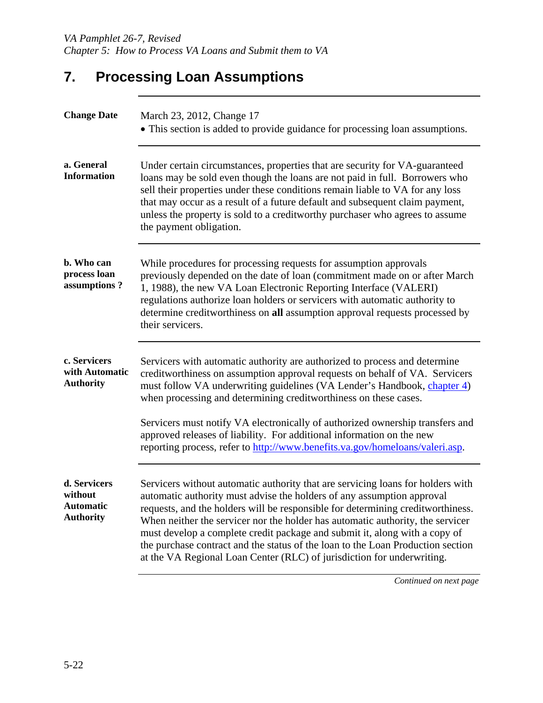# **7. Processing Loan Assumptions**

| <b>Change Date</b>                                              | March 23, 2012, Change 17<br>• This section is added to provide guidance for processing loan assumptions.                                                                                                                                                                                                                                                                                                                                                                                                                                                                 |
|-----------------------------------------------------------------|---------------------------------------------------------------------------------------------------------------------------------------------------------------------------------------------------------------------------------------------------------------------------------------------------------------------------------------------------------------------------------------------------------------------------------------------------------------------------------------------------------------------------------------------------------------------------|
| a. General<br><b>Information</b>                                | Under certain circumstances, properties that are security for VA-guaranteed<br>loans may be sold even though the loans are not paid in full. Borrowers who<br>sell their properties under these conditions remain liable to VA for any loss<br>that may occur as a result of a future default and subsequent claim payment,<br>unless the property is sold to a creditworthy purchaser who agrees to assume<br>the payment obligation.                                                                                                                                    |
| b. Who can<br>process loan<br>assumptions?                      | While procedures for processing requests for assumption approvals<br>previously depended on the date of loan (commitment made on or after March<br>1, 1988), the new VA Loan Electronic Reporting Interface (VALERI)<br>regulations authorize loan holders or servicers with automatic authority to<br>determine creditworthiness on all assumption approval requests processed by<br>their servicers.                                                                                                                                                                    |
| c. Servicers<br>with Automatic<br><b>Authority</b>              | Servicers with automatic authority are authorized to process and determine<br>creditworthiness on assumption approval requests on behalf of VA. Servicers<br>must follow VA underwriting guidelines (VA Lender's Handbook, chapter 4)<br>when processing and determining creditworthiness on these cases.<br>Servicers must notify VA electronically of authorized ownership transfers and<br>approved releases of liability. For additional information on the new<br>reporting process, refer to http://www.benefits.va.gov/homeloans/valeri.asp.                       |
| d. Servicers<br>without<br><b>Automatic</b><br><b>Authority</b> | Servicers without automatic authority that are servicing loans for holders with<br>automatic authority must advise the holders of any assumption approval<br>requests, and the holders will be responsible for determining creditworthiness.<br>When neither the servicer nor the holder has automatic authority, the servicer<br>must develop a complete credit package and submit it, along with a copy of<br>the purchase contract and the status of the loan to the Loan Production section<br>at the VA Regional Loan Center (RLC) of jurisdiction for underwriting. |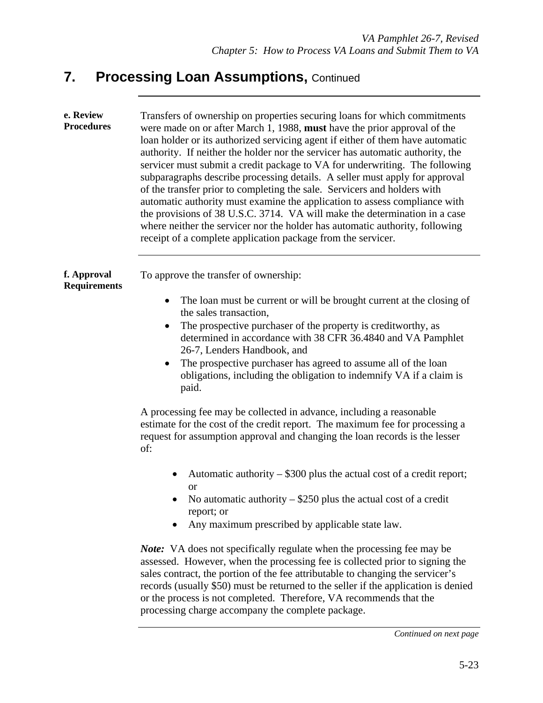| e. Review<br><b>Procedures</b>     | Transfers of ownership on properties securing loans for which commitments<br>were made on or after March 1, 1988, must have the prior approval of the<br>loan holder or its authorized servicing agent if either of them have automatic<br>authority. If neither the holder nor the servicer has automatic authority, the<br>servicer must submit a credit package to VA for underwriting. The following<br>subparagraphs describe processing details. A seller must apply for approval<br>of the transfer prior to completing the sale. Servicers and holders with<br>automatic authority must examine the application to assess compliance with<br>the provisions of 38 U.S.C. 3714. VA will make the determination in a case<br>where neither the servicer nor the holder has automatic authority, following<br>receipt of a complete application package from the servicer. |  |
|------------------------------------|---------------------------------------------------------------------------------------------------------------------------------------------------------------------------------------------------------------------------------------------------------------------------------------------------------------------------------------------------------------------------------------------------------------------------------------------------------------------------------------------------------------------------------------------------------------------------------------------------------------------------------------------------------------------------------------------------------------------------------------------------------------------------------------------------------------------------------------------------------------------------------|--|
| f. Approval<br><b>Requirements</b> | To approve the transfer of ownership:                                                                                                                                                                                                                                                                                                                                                                                                                                                                                                                                                                                                                                                                                                                                                                                                                                           |  |
|                                    | The loan must be current or will be brought current at the closing of<br>$\bullet$                                                                                                                                                                                                                                                                                                                                                                                                                                                                                                                                                                                                                                                                                                                                                                                              |  |
|                                    | the sales transaction,<br>The prospective purchaser of the property is creditworthy, as<br>$\bullet$<br>determined in accordance with 38 CFR 36.4840 and VA Pamphlet<br>26-7, Lenders Handbook, and<br>The prospective purchaser has agreed to assume all of the loan<br>$\bullet$<br>obligations, including the obligation to indemnify VA if a claim is<br>paid.                                                                                                                                                                                                                                                                                                                                                                                                                                                                                                              |  |
|                                    | A processing fee may be collected in advance, including a reasonable<br>estimate for the cost of the credit report. The maximum fee for processing a<br>request for assumption approval and changing the loan records is the lesser<br>of:                                                                                                                                                                                                                                                                                                                                                                                                                                                                                                                                                                                                                                      |  |
|                                    | Automatic authority $-$ \$300 plus the actual cost of a credit report;<br><b>or</b><br>No automatic authority $-$ \$250 plus the actual cost of a credit<br>report; or<br>Any maximum prescribed by applicable state law.                                                                                                                                                                                                                                                                                                                                                                                                                                                                                                                                                                                                                                                       |  |
|                                    | <i>Note:</i> VA does not specifically regulate when the processing fee may be<br>assessed. However, when the processing fee is collected prior to signing the<br>sales contract, the portion of the fee attributable to changing the servicer's<br>records (usually \$50) must be returned to the seller if the application is denied<br>or the process is not completed. Therefore, VA recommends that the<br>processing charge accompany the complete package.                                                                                                                                                                                                                                                                                                                                                                                                                |  |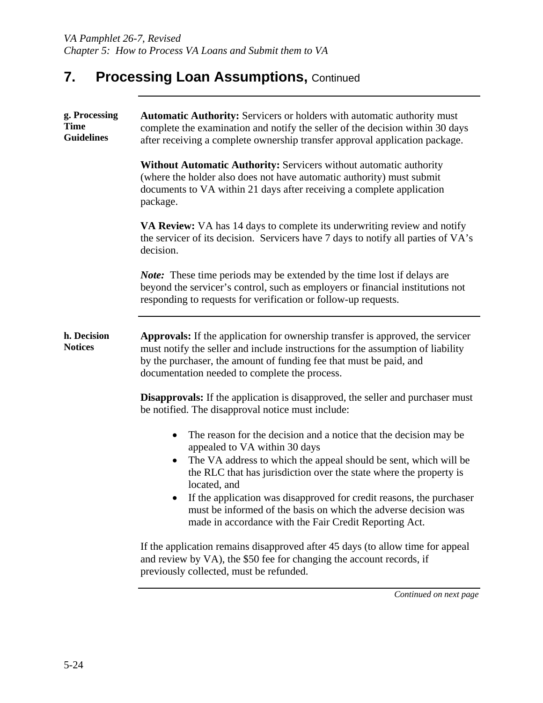| g. Processing<br><b>Time</b><br><b>Guidelines</b> | <b>Automatic Authority:</b> Servicers or holders with automatic authority must<br>complete the examination and notify the seller of the decision within 30 days<br>after receiving a complete ownership transfer approval application package.                                                  |  |  |
|---------------------------------------------------|-------------------------------------------------------------------------------------------------------------------------------------------------------------------------------------------------------------------------------------------------------------------------------------------------|--|--|
|                                                   | <b>Without Automatic Authority: Servicers without automatic authority</b><br>(where the holder also does not have automatic authority) must submit<br>documents to VA within 21 days after receiving a complete application<br>package.                                                         |  |  |
|                                                   | <b>VA Review:</b> VA has 14 days to complete its underwriting review and notify<br>the servicer of its decision. Servicers have 7 days to notify all parties of VA's<br>decision.                                                                                                               |  |  |
|                                                   | Note: These time periods may be extended by the time lost if delays are<br>beyond the servicer's control, such as employers or financial institutions not<br>responding to requests for verification or follow-up requests.                                                                     |  |  |
| h. Decision<br><b>Notices</b>                     | <b>Approvals:</b> If the application for ownership transfer is approved, the servicer<br>must notify the seller and include instructions for the assumption of liability<br>by the purchaser, the amount of funding fee that must be paid, and<br>documentation needed to complete the process. |  |  |
|                                                   | <b>Disapprovals:</b> If the application is disapproved, the seller and purchaser must<br>be notified. The disapproval notice must include:                                                                                                                                                      |  |  |
|                                                   | The reason for the decision and a notice that the decision may be<br>appealed to VA within 30 days                                                                                                                                                                                              |  |  |
|                                                   | The VA address to which the appeal should be sent, which will be<br>the RLC that has jurisdiction over the state where the property is<br>located, and                                                                                                                                          |  |  |
|                                                   | If the application was disapproved for credit reasons, the purchaser<br>must be informed of the basis on which the adverse decision was<br>made in accordance with the Fair Credit Reporting Act.                                                                                               |  |  |
|                                                   | If the application remains disapproved after 45 days (to allow time for appeal<br>and review by VA), the \$50 fee for changing the account records, if<br>previously collected, must be refunded.                                                                                               |  |  |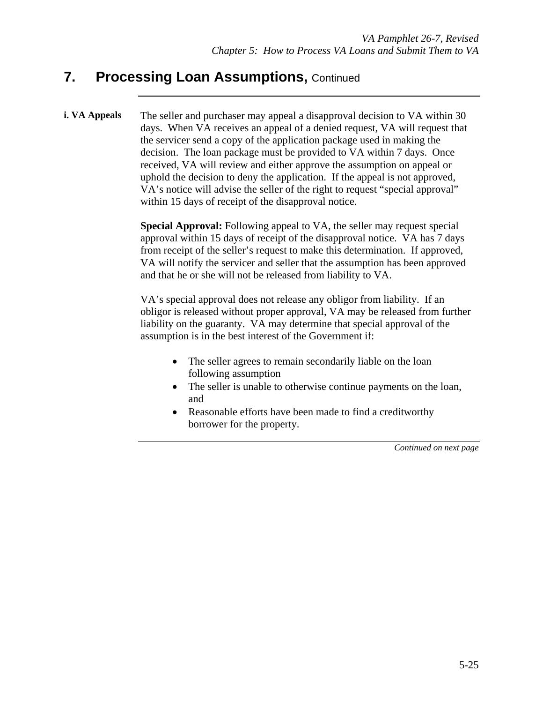**i. VA Appeals** The seller and purchaser may appeal a disapproval decision to VA within 30 days. When VA receives an appeal of a denied request, VA will request that the servicer send a copy of the application package used in making the decision. The loan package must be provided to VA within 7 days. Once received, VA will review and either approve the assumption on appeal or uphold the decision to deny the application. If the appeal is not approved, VA's notice will advise the seller of the right to request "special approval" within 15 days of receipt of the disapproval notice.

> **Special Approval:** Following appeal to VA, the seller may request special approval within 15 days of receipt of the disapproval notice. VA has 7 days from receipt of the seller's request to make this determination. If approved, VA will notify the servicer and seller that the assumption has been approved and that he or she will not be released from liability to VA.

VA's special approval does not release any obligor from liability. If an obligor is released without proper approval, VA may be released from further liability on the guaranty. VA may determine that special approval of the assumption is in the best interest of the Government if:

- The seller agrees to remain secondarily liable on the loan following assumption
- The seller is unable to otherwise continue payments on the loan, and
- Reasonable efforts have been made to find a creditworthy borrower for the property.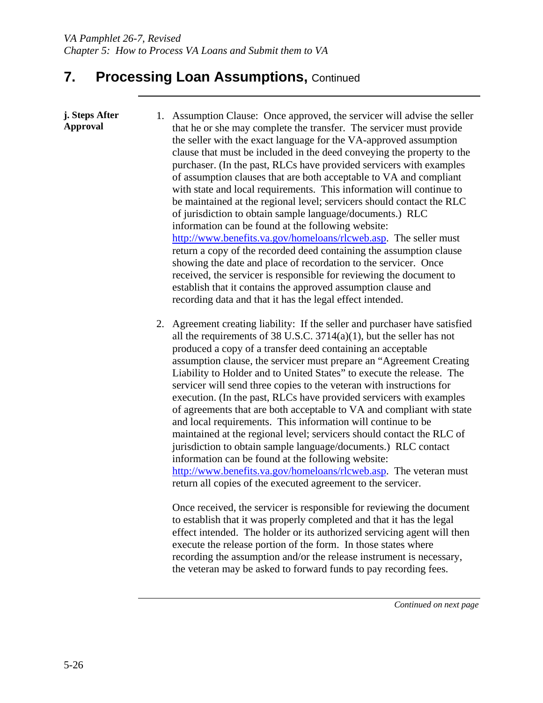- **j. Steps After Approval**  1. Assumption Clause: Once approved, the servicer will advise the seller that he or she may complete the transfer. The servicer must provide the seller with the exact language for the VA-approved assumption clause that must be included in the deed conveying the property to the purchaser. (In the past, RLCs have provided servicers with examples of assumption clauses that are both acceptable to VA and compliant with state and local requirements. This information will continue to be maintained at the regional level; servicers should contact the RLC of jurisdiction to obtain sample language/documents.) RLC information can be found at the following website: http://www.benefits.va.gov/homeloans/rlcweb.asp. The seller must return a copy of the recorded deed containing the assumption clause showing the date and place of recordation to the servicer. Once received, the servicer is responsible for reviewing the document to establish that it contains the approved assumption clause and recording data and that it has the legal effect intended.
	- 2. Agreement creating liability: If the seller and purchaser have satisfied all the requirements of 38 U.S.C. 3714(a)(1), but the seller has not produced a copy of a transfer deed containing an acceptable assumption clause, the servicer must prepare an "Agreement Creating Liability to Holder and to United States" to execute the release. The servicer will send three copies to the veteran with instructions for execution. (In the past, RLCs have provided servicers with examples of agreements that are both acceptable to VA and compliant with state and local requirements. This information will continue to be maintained at the regional level; servicers should contact the RLC of jurisdiction to obtain sample language/documents.) RLC contact information can be found at the following website: http://www.benefits.va.gov/homeloans/rlcweb.asp. The veteran must return all copies of the executed agreement to the servicer.

Once received, the servicer is responsible for reviewing the document to establish that it was properly completed and that it has the legal effect intended. The holder or its authorized servicing agent will then execute the release portion of the form. In those states where recording the assumption and/or the release instrument is necessary, the veteran may be asked to forward funds to pay recording fees.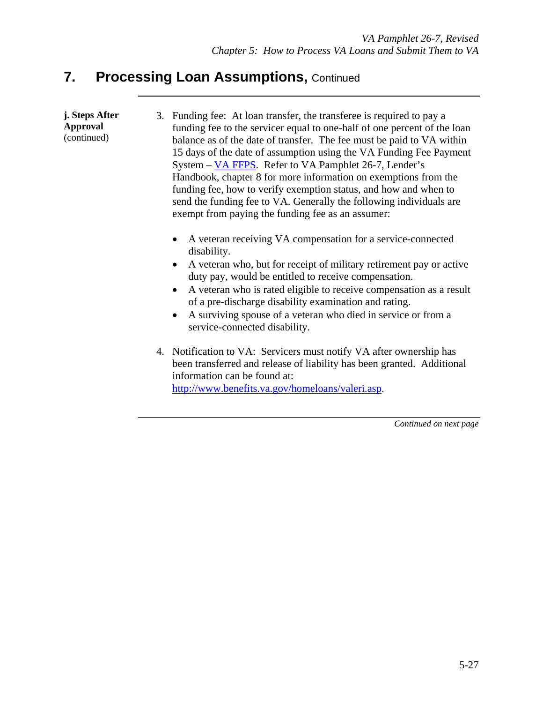| j. Steps After<br><b>Approval</b><br>(continued) | 3. Funding fee: At loan transfer, the transferee is required to pay a<br>funding fee to the servicer equal to one-half of one percent of the loan<br>balance as of the date of transfer. The fee must be paid to VA within<br>15 days of the date of assumption using the VA Funding Fee Payment<br>System – VA FFPS. Refer to VA Pamphlet 26-7, Lender's<br>Handbook, chapter 8 for more information on exemptions from the<br>funding fee, how to verify exemption status, and how and when to<br>send the funding fee to VA. Generally the following individuals are<br>exempt from paying the funding fee as an assumer: |
|--------------------------------------------------|------------------------------------------------------------------------------------------------------------------------------------------------------------------------------------------------------------------------------------------------------------------------------------------------------------------------------------------------------------------------------------------------------------------------------------------------------------------------------------------------------------------------------------------------------------------------------------------------------------------------------|
|                                                  |                                                                                                                                                                                                                                                                                                                                                                                                                                                                                                                                                                                                                              |

- A veteran receiving VA compensation for a service-connected disability.
- A veteran who, but for receipt of military retirement pay or active duty pay, would be entitled to receive compensation.
- A veteran who is rated eligible to receive compensation as a result of a pre-discharge disability examination and rating.
- A surviving spouse of a veteran who died in service or from a service-connected disability.
- 4. Notification to VA: Servicers must notify VA after ownership has been transferred and release of liability has been granted. Additional information can be found at: http://www.benefits.va.gov/homeloans/valeri.asp.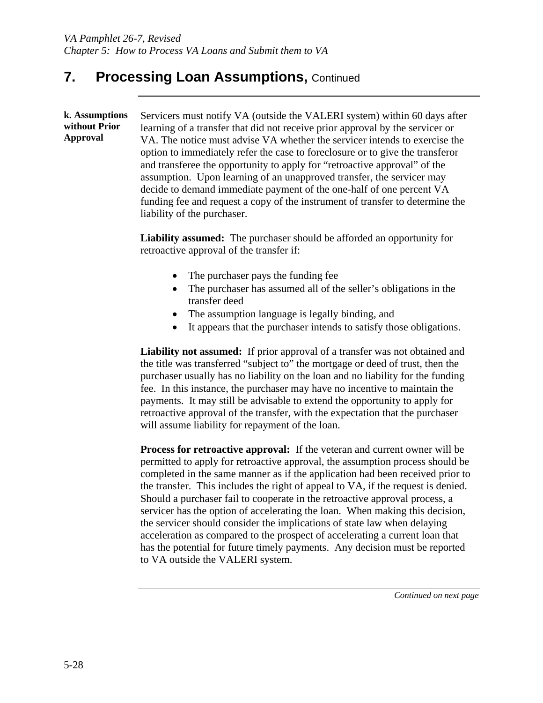**k. Assumptions without Prior Approval**  Servicers must notify VA (outside the VALERI system) within 60 days after learning of a transfer that did not receive prior approval by the servicer or VA. The notice must advise VA whether the servicer intends to exercise the option to immediately refer the case to foreclosure or to give the transferor and transferee the opportunity to apply for "retroactive approval" of the assumption. Upon learning of an unapproved transfer, the servicer may decide to demand immediate payment of the one-half of one percent VA funding fee and request a copy of the instrument of transfer to determine the liability of the purchaser.

> **Liability assumed:** The purchaser should be afforded an opportunity for retroactive approval of the transfer if:

- The purchaser pays the funding fee
- The purchaser has assumed all of the seller's obligations in the transfer deed
- The assumption language is legally binding, and
- It appears that the purchaser intends to satisfy those obligations.

**Liability not assumed:** If prior approval of a transfer was not obtained and the title was transferred "subject to" the mortgage or deed of trust, then the purchaser usually has no liability on the loan and no liability for the funding fee. In this instance, the purchaser may have no incentive to maintain the payments. It may still be advisable to extend the opportunity to apply for retroactive approval of the transfer, with the expectation that the purchaser will assume liability for repayment of the loan.

**Process for retroactive approval:** If the veteran and current owner will be permitted to apply for retroactive approval, the assumption process should be completed in the same manner as if the application had been received prior to the transfer. This includes the right of appeal to VA, if the request is denied. Should a purchaser fail to cooperate in the retroactive approval process, a servicer has the option of accelerating the loan. When making this decision, the servicer should consider the implications of state law when delaying acceleration as compared to the prospect of accelerating a current loan that has the potential for future timely payments. Any decision must be reported to VA outside the VALERI system.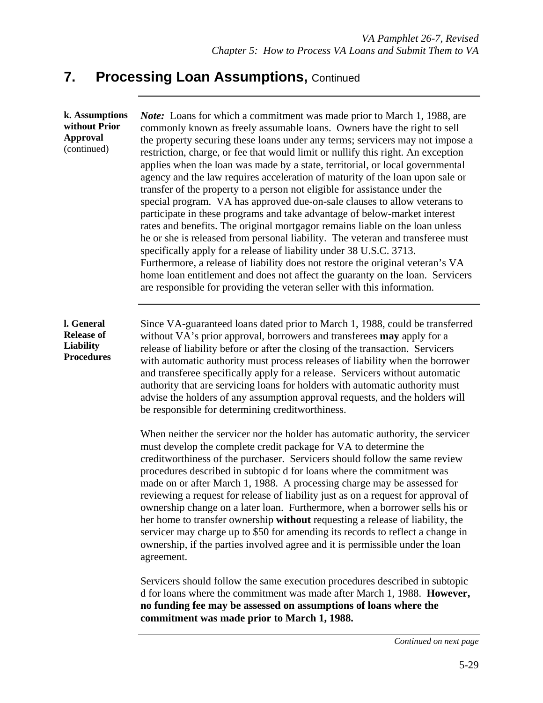| k. Assumptions<br>without Prior<br><b>Approval</b><br>(continued) | <i>Note:</i> Loans for which a commitment was made prior to March 1, 1988, are<br>commonly known as freely assumable loans. Owners have the right to sell<br>the property securing these loans under any terms; servicers may not impose a<br>restriction, charge, or fee that would limit or nullify this right. An exception<br>applies when the loan was made by a state, territorial, or local governmental<br>agency and the law requires acceleration of maturity of the loan upon sale or<br>transfer of the property to a person not eligible for assistance under the<br>special program. VA has approved due-on-sale clauses to allow veterans to<br>participate in these programs and take advantage of below-market interest<br>rates and benefits. The original mortgagor remains liable on the loan unless<br>he or she is released from personal liability. The veteran and transferee must<br>specifically apply for a release of liability under 38 U.S.C. 3713.<br>Furthermore, a release of liability does not restore the original veteran's VA<br>home loan entitlement and does not affect the guaranty on the loan. Servicers<br>are responsible for providing the veteran seller with this information. |  |  |
|-------------------------------------------------------------------|---------------------------------------------------------------------------------------------------------------------------------------------------------------------------------------------------------------------------------------------------------------------------------------------------------------------------------------------------------------------------------------------------------------------------------------------------------------------------------------------------------------------------------------------------------------------------------------------------------------------------------------------------------------------------------------------------------------------------------------------------------------------------------------------------------------------------------------------------------------------------------------------------------------------------------------------------------------------------------------------------------------------------------------------------------------------------------------------------------------------------------------------------------------------------------------------------------------------------------|--|--|
| l. General<br><b>Release of</b><br>Liability<br><b>Procedures</b> | Since VA-guaranteed loans dated prior to March 1, 1988, could be transferred<br>without VA's prior approval, borrowers and transferees may apply for a<br>release of liability before or after the closing of the transaction. Servicers<br>with automatic authority must process releases of liability when the borrower<br>and transferee specifically apply for a release. Servicers without automatic<br>authority that are servicing loans for holders with automatic authority must<br>advise the holders of any assumption approval requests, and the holders will<br>be responsible for determining creditworthiness.                                                                                                                                                                                                                                                                                                                                                                                                                                                                                                                                                                                                   |  |  |
|                                                                   | When neither the servicer nor the holder has automatic authority, the servicer<br>must develop the complete credit package for VA to determine the<br>creditworthiness of the purchaser. Servicers should follow the same review<br>procedures described in subtopic d for loans where the commitment was<br>made on or after March 1, 1988. A processing charge may be assessed for<br>reviewing a request for release of liability just as on a request for approval of<br>ownership change on a later loan. Furthermore, when a borrower sells his or<br>her home to transfer ownership without requesting a release of liability, the<br>servicer may charge up to \$50 for amending its records to reflect a change in<br>ownership, if the parties involved agree and it is permissible under the loan<br>agreement.                                                                                                                                                                                                                                                                                                                                                                                                      |  |  |
|                                                                   | Servicers should follow the same execution procedures described in subtopic<br>d for loans where the commitment was made after March 1, 1988. However,<br>no funding fee may be assessed on assumptions of loans where the<br>commitment was made prior to March 1, 1988.                                                                                                                                                                                                                                                                                                                                                                                                                                                                                                                                                                                                                                                                                                                                                                                                                                                                                                                                                       |  |  |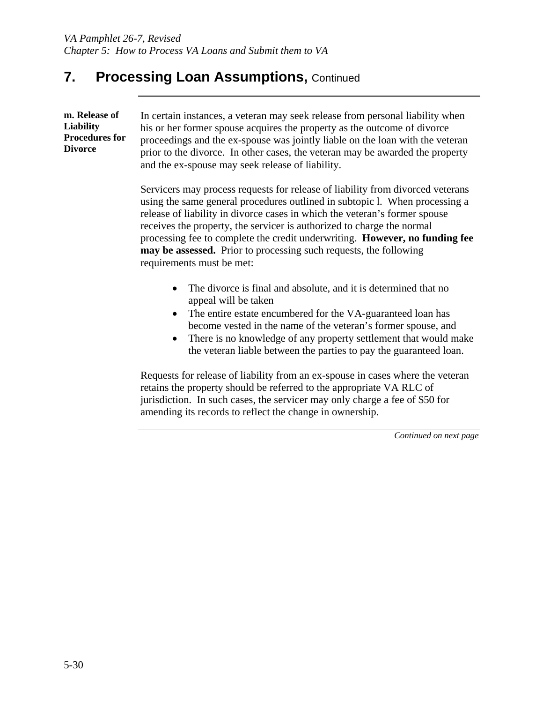**m. Release of Liability Procedures for Divorce** 

In certain instances, a veteran may seek release from personal liability when his or her former spouse acquires the property as the outcome of divorce proceedings and the ex-spouse was jointly liable on the loan with the veteran prior to the divorce. In other cases, the veteran may be awarded the property and the ex-spouse may seek release of liability.

Servicers may process requests for release of liability from divorced veterans using the same general procedures outlined in subtopic l. When processing a release of liability in divorce cases in which the veteran's former spouse receives the property, the servicer is authorized to charge the normal processing fee to complete the credit underwriting. **However, no funding fee may be assessed.** Prior to processing such requests, the following requirements must be met:

- The divorce is final and absolute, and it is determined that no appeal will be taken
- The entire estate encumbered for the VA-guaranteed loan has become vested in the name of the veteran's former spouse, and
- There is no knowledge of any property settlement that would make the veteran liable between the parties to pay the guaranteed loan.

Requests for release of liability from an ex-spouse in cases where the veteran retains the property should be referred to the appropriate VA RLC of jurisdiction. In such cases, the servicer may only charge a fee of \$50 for amending its records to reflect the change in ownership.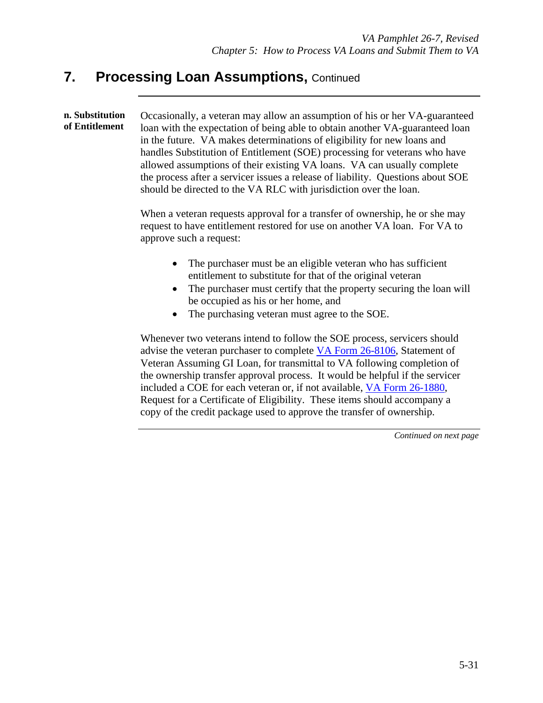**n. Substitution of Entitlement**  Occasionally, a veteran may allow an assumption of his or her VA-guaranteed loan with the expectation of being able to obtain another VA-guaranteed loan in the future. VA makes determinations of eligibility for new loans and handles Substitution of Entitlement (SOE) processing for veterans who have allowed assumptions of their existing VA loans. VA can usually complete the process after a servicer issues a release of liability. Questions about SOE should be directed to the VA RLC with jurisdiction over the loan.

> When a veteran requests approval for a transfer of ownership, he or she may request to have entitlement restored for use on another VA loan. For VA to approve such a request:

- The purchaser must be an eligible veteran who has sufficient entitlement to substitute for that of the original veteran
- The purchaser must certify that the property securing the loan will be occupied as his or her home, and
- The purchasing veteran must agree to the SOE.

Whenever two veterans intend to follow the SOE process, servicers should advise the veteran purchaser to complete VA Form 26-8106, Statement of Veteran Assuming GI Loan, for transmittal to VA following completion of the ownership transfer approval process. It would be helpful if the servicer included a COE for each veteran or, if not available, VA Form 26-1880, Request for a Certificate of Eligibility. These items should accompany a copy of the credit package used to approve the transfer of ownership.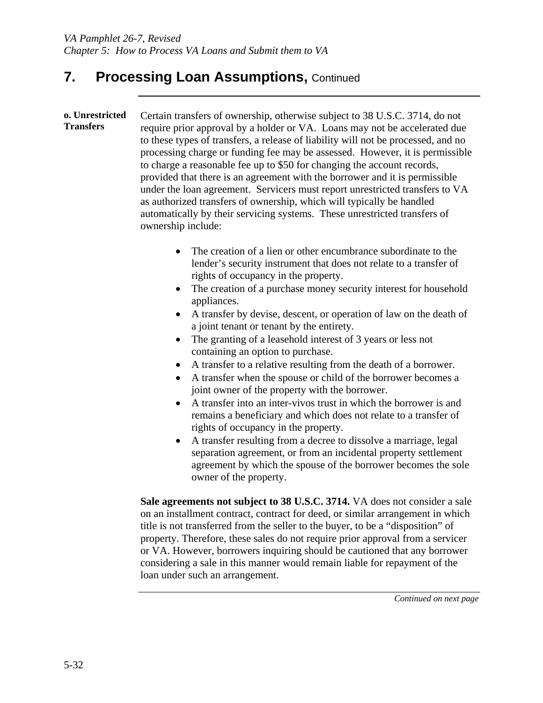**o. Unrestricted Transfers**  Certain transfers of ownership, otherwise subject to 38 U.S.C. 3714, do not require prior approval by a holder or VA. Loans may not be accelerated due to these types of transfers, a release of liability will not be processed, and no processing charge or funding fee may be assessed. However, it is permissible to charge a reasonable fee up to \$50 for changing the account records, provided that there is an agreement with the borrower and it is permissible under the loan agreement. Servicers must report unrestricted transfers to VA as authorized transfers of ownership, which will typically be handled automatically by their servicing systems. These unrestricted transfers of ownership include:

- The creation of a lien or other encumbrance subordinate to the lender's security instrument that does not relate to a transfer of rights of occupancy in the property.
- The creation of a purchase money security interest for household appliances.
- A transfer by devise, descent, or operation of law on the death of a joint tenant or tenant by the entirety.
- The granting of a leasehold interest of 3 years or less not containing an option to purchase.
- A transfer to a relative resulting from the death of a borrower.
- A transfer when the spouse or child of the borrower becomes a joint owner of the property with the borrower.
- A transfer into an inter-vivos trust in which the borrower is and remains a beneficiary and which does not relate to a transfer of rights of occupancy in the property.
- A transfer resulting from a decree to dissolve a marriage, legal separation agreement, or from an incidental property settlement agreement by which the spouse of the borrower becomes the sole owner of the property.

**Sale agreements not subject to 38 U.S.C. 3714.** VA does not consider a sale on an installment contract, contract for deed, or similar arrangement in which title is not transferred from the seller to the buyer, to be a "disposition" of property. Therefore, these sales do not require prior approval from a servicer or VA. However, borrowers inquiring should be cautioned that any borrower considering a sale in this manner would remain liable for repayment of the loan under such an arrangement.